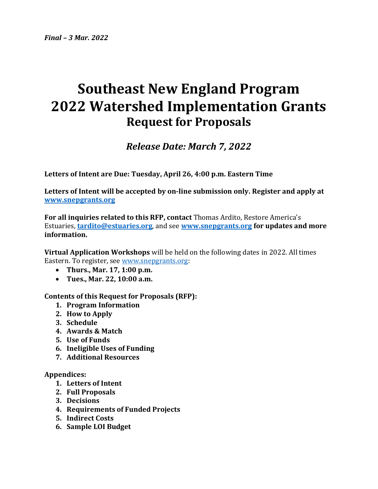# **Southeast New England Program 2022 Watershed Implementation Grants Request for Proposals**

## *Release Date: March 7, 2022*

**Letters of Intent are Due: Tuesday, April 26, 4:00 p.m. Eastern Time**

**Letters of Intent will be accepted by on-line submission only. Register and apply at [www.snepgrants.org](http://www.snepgrants.org/)**

**For all inquiries related to this RFP, contact** Thomas Ardito, Restore America's Estuaries, **[tardito@estuaries.org](http://tardito@estuaries.org/)**, and see **[www.snepgrants.org](http://www.snepgrants.org/) for updates and more information.**

**Virtual Application Workshops** will be held on the following dates in 2022. All times Eastern. To register, see [www.snepgrants.org:](http://www.snepgrants.org/)

- **Thurs., Mar. 17, 1:00 p.m.**
- **Tues., Mar. 22, 10:00 a.m.**

**Contents of this Request for Proposals (RFP):**

- **1. Program Information**
- **2. How to Apply**
- **3. Schedule**
- **4. Awards & Match**
- **5. Use of Funds**
- **6. Ineligible Uses of Funding**
- **7. Additional Resources**

#### **Appendices:**

- **1. Letters of Intent**
- **2. Full Proposals**
- **3. Decisions**
- **4. Requirements of Funded Projects**
- **5. Indirect Costs**
- **6. Sample LOI Budget**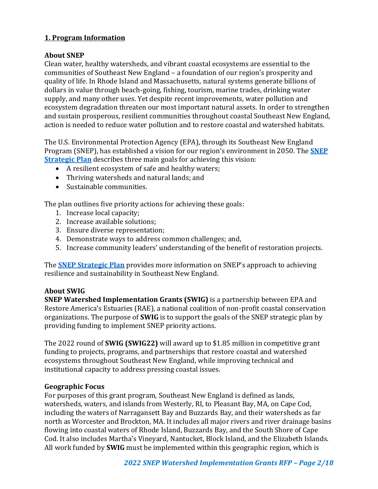## **1. Program Information**

## **About SNEP**

Clean water, healthy watersheds, and vibrant coastal ecosystems are essential to the communities of Southeast New England – a foundation of our region's prosperity and quality of life. In Rhode Island and Massachusetts, natural systems generate billions of dollars in value through beach-going, fishing, tourism, marine trades, drinking water supply, and many other uses. Yet despite recent improvements, water pollution and ecosystem degradation threaten our most important natural assets. In order to strengthen and sustain prosperous, resilient communities throughout coastal Southeast New England, action is needed to reduce water pollution and to restore coastal and watershed habitats.

The U.S. Environmental Protection Agency (EPA), through its Southeast New England Program (SNEP), has established a vision for our region's environment in 2050. The **[SNEP](https://www.epa.gov/snep/snep-strategic-plan#:~:text=The%20purpose%20of%20this%20Strategic,%2C%20and%203)%20sustainable%20communities.)  [Strategic Plan](https://www.epa.gov/snep/snep-strategic-plan#:~:text=The%20purpose%20of%20this%20Strategic,%2C%20and%203)%20sustainable%20communities.)** describes three main goals for achieving this vision:

- A resilient ecosystem of safe and healthy waters;
- Thriving watersheds and natural lands; and
- Sustainable communities.

The plan outlines five priority actions for achieving these goals:

- 1. Increase local capacity;
- 2. Increase available solutions;
- 3. Ensure diverse representation;
- 4. Demonstrate ways to address common challenges; and,
- 5. Increase community leaders' understanding of the benefit of restoration projects.

The **[SNEP Strategic Plan](https://www.epa.gov/snep/snep-strategic-plan#:~:text=The%20purpose%20of%20this%20Strategic,%2C%20and%203)%20sustainable%20communities.)** provides more information on SNEP's approach to achieving resilience and sustainability in Southeast New England.

#### **About SWIG**

**SNEP Watershed Implementation Grants (SWIG)** is a partnership between EPA and Restore America's Estuaries (RAE), a national coalition of non-profit coastal conservation organizations. The purpose of **SWIG** is to support the goals of the SNEP strategic plan by providing funding to implement SNEP priority actions.

The 2022 round of **SWIG (SWIG22)** will award up to \$1.85 million in competitive grant funding to projects, programs, and partnerships that restore coastal and watershed ecosystems throughout Southeast New England, while improving technical and institutional capacity to address pressing coastal issues.

## **Geographic Focus**

For purposes of this grant program, Southeast New England is defined as lands, watersheds, waters, and islands from Westerly, RI, to Pleasant Bay, MA, on Cape Cod, including the waters of Narragansett Bay and Buzzards Bay, and their watersheds as far north as Worcester and Brockton, MA. It includes all major rivers and river drainage basins flowing into coastal waters of Rhode Island, Buzzards Bay, and the South Shore of Cape Cod. It also includes Martha's Vineyard, Nantucket, Block Island, and the Elizabeth Islands. All work funded by **SWIG** must be implemented within this geographic region, which is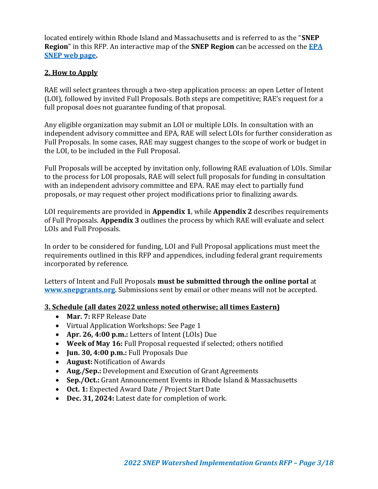located entirely within Rhode Island and Massachusetts and is referred to as the "**SNEP Region**" in this RFP. An interactive map of the **SNEP Region** can be accessed on the **[EPA](https://www.epa.gov/snep/background-information-southeast-new-england-program)  [SNEP web page.](https://www.epa.gov/snep/background-information-southeast-new-england-program)**

## **2. How to Apply**

RAE will select grantees through a two-step application process: an open Letter of Intent (LOI), followed by invited Full Proposals. Both steps are competitive; RAE's request for a full proposal does not guarantee funding of that proposal.

Any eligible organization may submit an LOI or multiple LOIs. In consultation with an independent advisory committee and EPA, RAE will select LOIs for further consideration as Full Proposals. In some cases, RAE may suggest changes to the scope of work or budget in the LOI, to be included in the Full Proposal.

Full Proposals will be accepted by invitation only, following RAE evaluation of LOIs. Similar to the process for LOI proposals, RAE will select full proposals for funding in consultation with an independent advisory committee and EPA. RAE may elect to partially fund proposals, or may request other project modifications prior to finalizing awards.

LOI requirements are provided in **Appendix 1**, while **Appendix 2** describes requirements of Full Proposals. **Appendix 3** outlines the process by which RAE will evaluate and select LOIs and Full Proposals.

In order to be considered for funding, LOI and Full Proposal applications must meet the requirements outlined in this RFP and appendices, including federal grant requirements incorporated by reference.

Letters of Intent and Full Proposals **must be submitted through the online portal** at **[www.snepgrants.org](http://www.snepgrants.org/)**. Submissions sent by email or other means will not be accepted.

#### **3. Schedule (all dates 2022 unless noted otherwise; all times Eastern)**

- **Mar. 7:** RFP Release Date
- Virtual Application Workshops: See Page 1
- **Apr. 26, 4:00 p.m.:** Letters of Intent (LOIs) Due
- **Week of May 16:** Full Proposal requested if selected; others notified
- **Jun. 30, 4:00 p.m.:** Full Proposals Due
- **August:** Notification of Awards
- **Aug./Sep.:** Development and Execution of Grant Agreements
- **Sep./Oct.:** Grant Announcement Events in Rhode Island & Massachusetts
- **Oct. 1:** Expected Award Date / Project Start Date
- **Dec. 31, 2024:** Latest date for completion of work.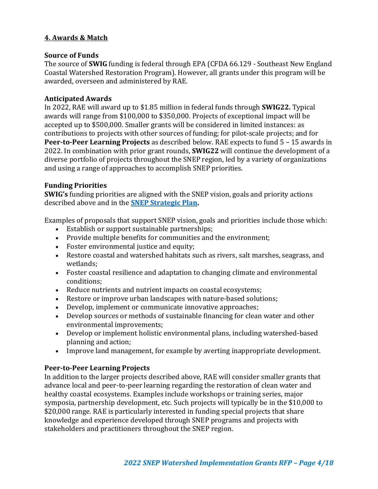## **4. Awards & Match**

#### **Source of Funds**

The source of **SWIG** funding is federal through EPA (CFDA 66.129 - Southeast New England Coastal Watershed Restoration Program). However, all grants under this program will be awarded, overseen and administered by RAE.

#### **Anticipated Awards**

In 2022, RAE will award up to \$1.85 million in federal funds through **SWIG22.** Typical awards will range from \$100,000 to \$350,000. Projects of exceptional impact will be accepted up to \$500,000. Smaller grants will be considered in limited instances: as contributions to projects with other sources of funding; for pilot-scale projects; and for **Peer-to-Peer Learning Projects** as described below. RAE expects to fund 5 – 15 awards in 2022. In combination with prior grant rounds, **SWIG22** will continue the development of a diverse portfolio of projects throughout the SNEP region, led by a variety of organizations and using a range of approaches to accomplish SNEP priorities.

## **Funding Priorities**

**SWIG's** funding priorities are aligned with the SNEP vision, goals and priority actions described above and in the **[SNEP Strategic Plan.](https://www.epa.gov/snep/snep-strategic-plan#:~:text=The%20purpose%20of%20this%20Strategic,%2C%20and%203)%20sustainable%20communities.)** 

Examples of proposals that support SNEP vision, goals and priorities include those which:

- Establish or support sustainable partnerships;
- Provide multiple benefits for communities and the environment;
- Foster environmental justice and equity;
- Restore coastal and watershed habitats such as rivers, salt marshes, seagrass, and wetlands;
- Foster coastal resilience and adaptation to changing climate and environmental conditions;
- Reduce nutrients and nutrient impacts on coastal ecosystems;
- Restore or improve urban landscapes with nature-based solutions;
- Develop, implement or communicate innovative approaches;
- Develop sources or methods of sustainable financing for clean water and other environmental improvements;
- Develop or implement holistic environmental plans, including watershed-based planning and action;
- Improve land management, for example by averting inappropriate development.

## **Peer-to-Peer Learning Projects**

In addition to the larger projects described above, RAE will consider smaller grants that advance local and peer-to-peer learning regarding the restoration of clean water and healthy coastal ecosystems. Examples include workshops or training series, major symposia, partnership development, etc. Such projects will typically be in the \$10,000 to \$20,000 range. RAE is particularly interested in funding special projects that share knowledge and experience developed through SNEP programs and projects with stakeholders and practitioners throughout the SNEP region.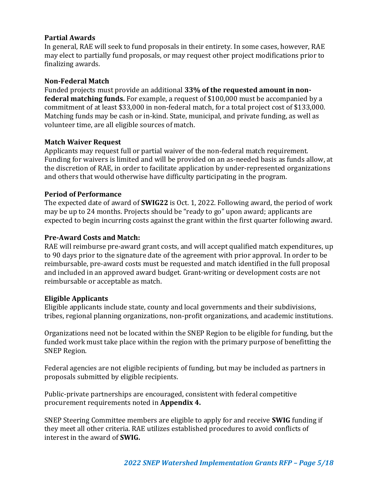#### **Partial Awards**

In general, RAE will seek to fund proposals in their entirety. In some cases, however, RAE may elect to partially fund proposals, or may request other project modifications prior to finalizing awards.

#### **Non-Federal Match**

Funded projects must provide an additional **33% of the requested amount in nonfederal matching funds.** For example, a request of \$100,000 must be accompanied by a commitment of at least \$33,000 in non-federal match, for a total project cost of \$133,000. Matching funds may be cash or in-kind. State, municipal, and private funding, as well as volunteer time, are all eligible sources of match.

## **Match Waiver Request**

Applicants may request full or partial waiver of the non-federal match requirement. Funding for waivers is limited and will be provided on an as-needed basis as funds allow, at the discretion of RAE, in order to facilitate application by under-represented organizations and others that would otherwise have difficulty participating in the program.

#### **Period of Performance**

The expected date of award of **SWIG22** is Oct. 1, 2022. Following award, the period of work may be up to 24 months. Projects should be "ready to go" upon award; applicants are expected to begin incurring costs against the grant within the first quarter following award.

## **Pre-Award Costs and Match:**

RAE will reimburse pre-award grant costs, and will accept qualified match expenditures, up to 90 days prior to the signature date of the agreement with prior approval. In order to be reimbursable, pre-award costs must be requested and match identified in the full proposal and included in an approved award budget. Grant-writing or development costs are not reimbursable or acceptable as match.

#### **Eligible Applicants**

Eligible applicants include state, county and local governments and their subdivisions, tribes, regional planning organizations, non-profit organizations, and academic institutions.

Organizations need not be located within the SNEP Region to be eligible for funding, but the funded work must take place within the region with the primary purpose of benefitting the SNEP Region.

Federal agencies are not eligible recipients of funding, but may be included as partners in proposals submitted by eligible recipients.

Public-private partnerships are encouraged, consistent with federal competitive procurement requirements noted in **Appendix 4.** 

SNEP Steering Committee members are eligible to apply for and receive **SWIG** funding if they meet all other criteria. RAE utilizes established procedures to avoid conflicts of interest in the award of **SWIG.**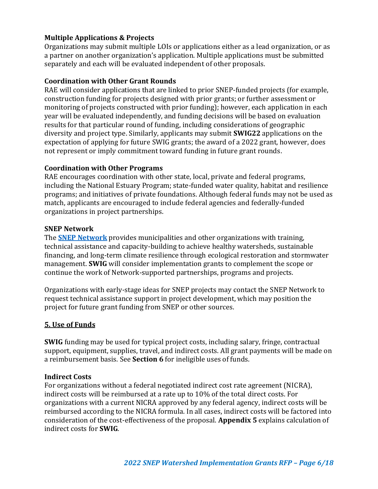## **Multiple Applications & Projects**

Organizations may submit multiple LOIs or applications either as a lead organization, or as a partner on another organization's application. Multiple applications must be submitted separately and each will be evaluated independent of other proposals.

#### **Coordination with Other Grant Rounds**

RAE will consider applications that are linked to prior SNEP-funded projects (for example, construction funding for projects designed with prior grants; or further assessment or monitoring of projects constructed with prior funding); however, each application in each year will be evaluated independently, and funding decisions will be based on evaluation results for that particular round of funding, including considerations of geographic diversity and project type. Similarly, applicants may submit **SWIG22** applications on the expectation of applying for future SWIG grants; the award of a 2022 grant, however, does not represent or imply commitment toward funding in future grant rounds.

#### **Coordination with Other Programs**

RAE encourages coordination with other state, local, private and federal programs, including the National Estuary Program; state-funded water quality, habitat and resilience programs; and initiatives of private foundations. Although federal funds may not be used as match, applicants are encouraged to include federal agencies and federally-funded organizations in project partnerships.

#### **SNEP Network**

The **SNEP [Network](https://gcc01.safelinks.protection.outlook.com/?url=http%3A%2F%2Fwww.snepnetwork.org%2F&data=04%7C01%7CPryor.Margherita%40epa.gov%7Cebc2c5f7015949d8157108d8b713715d%7C88b378b367484867acf976aacbeca6a7%7C0%7C0%7C637460641442695991%7CUnknown%7CTWFpbGZsb3d8eyJWIjoiMC4wLjAwMDAiLCJQIjoiV2luMzIiLCJBTiI6Ik1haWwiLCJXVCI6Mn0%3D%7C2000&sdata=HL1YJ9Flb0a5eNVOeqUxY2bh4AQ8Mxt8zzuOiBzOaPs%3D&reserved=0)** provides municipalities and other organizations with training, technical assistance and capacity-building to achieve healthy watersheds, sustainable financing, and long-term climate resilience through ecological restoration and stormwater management. **SWIG** will consider implementation grants to complement the scope or continue the work of Network-supported partnerships, programs and projects.

Organizations with early-stage ideas for SNEP projects may contact the SNEP Network to request technical assistance support in project development, which may position the project for future grant funding from SNEP or other sources.

#### **5. Use of Funds**

**SWIG** funding may be used for typical project costs, including salary, fringe, contractual support, equipment, supplies, travel, and indirect costs. All grant payments will be made on a reimbursement basis. See **Section 6** for ineligible uses of funds.

#### **Indirect Costs**

For organizations without a federal negotiated indirect cost rate agreement (NICRA), indirect costs will be reimbursed at a rate up to 10% of the total direct costs. For organizations with a current NICRA approved by any federal agency, indirect costs will be reimbursed according to the NICRA formula. In all cases, indirect costs will be factored into consideration of the cost-effectiveness of the proposal. **Appendix 5** explains calculation of indirect costs for **SWIG**.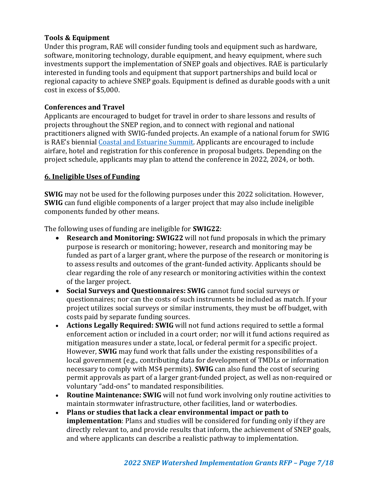## **Tools & Equipment**

Under this program, RAE will consider funding tools and equipment such as hardware, software, monitoring technology, durable equipment, and heavy equipment, where such investments support the implementation of SNEP goals and objectives. RAE is particularly interested in funding tools and equipment that support partnerships and build local or regional capacity to achieve SNEP goals. Equipment is defined as durable goods with a unit cost in excess of \$5,000.

## **Conferences and Travel**

Applicants are encouraged to budget for travel in order to share lessons and results of projects throughout the SNEP region, and to connect with regional and national practitioners aligned with SWIG-funded projects. An example of a national forum for SWIG is RAE's biennia[l Coastal and Estuarine Summit.](https://raesummit2022.estuaries.org/?_ga=2.240448836.693788755.1645025544-1410715981.1641926934) Applicants are encouraged to include airfare, hotel and registration for this conference in proposal budgets. Depending on the project schedule, applicants may plan to attend the conference in 2022, 2024, or both.

## **6. Ineligible Uses of Funding**

**SWIG** may not be used for the following purposes under this 2022 solicitation. However, **SWIG** can fund eligible components of a larger project that may also include ineligible components funded by other means.

The following uses of funding are ineligible for **SWIG22**:

- **Research and Monitoring: SWIG22** will not fund proposals in which the primary purpose is research or monitoring; however, research and monitoring may be funded as part of a larger grant, where the purpose of the research or monitoring is to assess results and outcomes of the grant-funded activity. Applicants should be clear regarding the role of any research or monitoring activities within the context of the larger project.
- **Social Surveys and Questionnaires: SWIG** cannot fund social surveys or questionnaires; nor can the costs of such instruments be included as match. If your project utilizes social surveys or similar instruments, they must be off budget, with costs paid by separate funding sources.
- **Actions Legally Required: SWIG** will not fund actions required to settle a formal enforcement action or included in a court order; nor will it fund actions required as mitigation measures under a state, local, or federal permit for a specific project. However, **SWIG** may fund work that falls under the existing responsibilities of a local government (e.g., contributing data for development of TMDLs or information necessary to comply with MS4 permits). **SWIG** can also fund the cost of securing permit approvals as part of a larger grant-funded project, as well as non-required or voluntary "add-ons" to mandated responsibilities.
- **Routine Maintenance: SWIG** will not fund work involving only routine activities to maintain stormwater infrastructure, other facilities, land or waterbodies.
- **Plans or studies that lack a clear environmental impact or path to implementation**: Plans and studies will be considered for funding only if they are directly relevant to, and provide results that inform, the achievement of SNEP goals, and where applicants can describe a realistic pathway to implementation.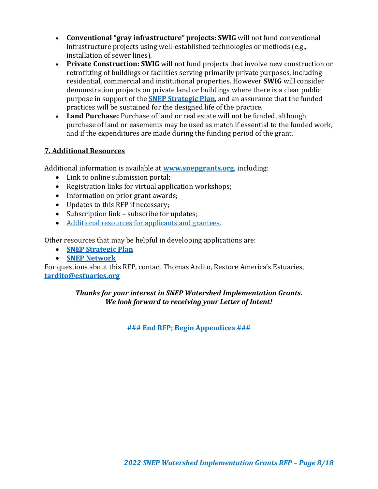- **Conventional "gray infrastructure" projects: SWIG** will not fund conventional infrastructure projects using well-established technologies or methods (e.g., installation of sewer lines).
- **Private Construction: SWIG** will not fund projects that involve new construction or retrofitting of buildings or facilities serving primarily private purposes, including residential, commercial and institutional properties. However **SWIG** will consider demonstration projects on private land or buildings where there is a clear public purpose in support of the **[SNEP Strategic Plan](https://www.epa.gov/snep/snep-strategic-plan#:~:text=The%20purpose%20of%20this%20Strategic,%2C%20and%203)%20sustainable%20communities.)**, and an assurance that the funded practices will be sustained for the designed life of the practice.
- **Land Purchase:** Purchase of land or real estate will not be funded, although purchase of land or easements may be used as match if essential to the funded work, and if the expenditures are made during the funding period of the grant.

## **7. Additional Resources**

Additional information is available at **[www.snepgrants.org,](http://www.snepgrants.org/)** including:

- Link to online submission portal:
- Registration links for virtual application workshops;
- Information on prior grant awards;
- Updates to this RFP if necessary;
- Subscription link subscribe for updates;
- [Additional resources for applicants and grantees.](https://estuaries.org/snepgrantprogram/resources/)

Other resources that may be helpful in developing applications are:

- **[SNEP Strategic Plan](https://www.epa.gov/snep/snep-strategic-plan#:~:text=The%20purpose%20of%20this%20Strategic,%2C%20and%203)%20sustainable%20communities.)**
- **[SNEP Network](https://snepnetwork.org/)**

For questions about this RFP, contact Thomas Ardito, Restore America's Estuaries, **[tardito@estuaries.org](http://tardito@estuaries.org/)**

## *Thanks for your interest in SNEP Watershed Implementation Grants. We look forward to receiving your Letter of Intent!*

**### End RFP; Begin Appendices ###**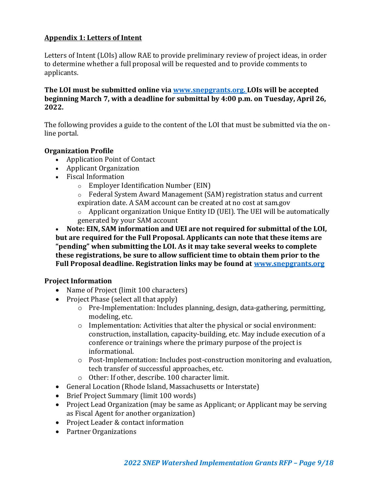## **Appendix 1: Letters of Intent**

Letters of Intent (LOIs) allow RAE to provide preliminary review of project ideas, in order to determine whether a full proposal will be requested and to provide comments to applicants.

**The LOI must be submitted online via [www.snepgrants.org. L](http://www.snepgrants.org./)OIs will be accepted beginning March 7, with a deadline for submittal by 4:00 p.m. on Tuesday, April 26, 2022.**

The following provides a guide to the content of the LOI that must be submitted via the online portal.

## **Organization Profile**

- Application Point of Contact
- Applicant Organization
- Fiscal Information
	- o Employer Identification Number (EIN)
	- o Federal System Award Management (SAM) registration status and current
	- expiration date. A SAM account can be created at no cost at sam.gov
	- o Applicant organization Unique Entity ID (UEI). The UEI will be automatically generated by your SAM account

• **Note: EIN, SAM information and UEI are not required for submittal of the LOI, but are required for the Full Proposal. Applicants can note that these items are "pending" when submitting the LOI. As it may take several weeks to complete these registrations, be sure to allow sufficient time to obtain them prior to the Full Proposal deadline. Registration links may be found at [www.snepgrants.org](http://www.snepgrants.org/)**

## **Project Information**

- Name of Project (limit 100 characters)
- Project Phase (select all that apply)
	- o Pre-Implementation: Includes planning, design, data-gathering, permitting, modeling, etc.
	- o Implementation: Activities that alter the physical or social environment: construction, installation, capacity-building, etc. May include execution of a conference or trainings where the primary purpose of the project is informational.
	- o Post-Implementation: Includes post-construction monitoring and evaluation, tech transfer of successful approaches, etc.
	- o Other: If other, describe. 100 character limit.
- General Location (Rhode Island, Massachusetts or Interstate)
- Brief Project Summary (limit 100 words)
- Project Lead Organization (may be same as Applicant; or Applicant may be serving as Fiscal Agent for another organization)
- Project Leader & contact information
- Partner Organizations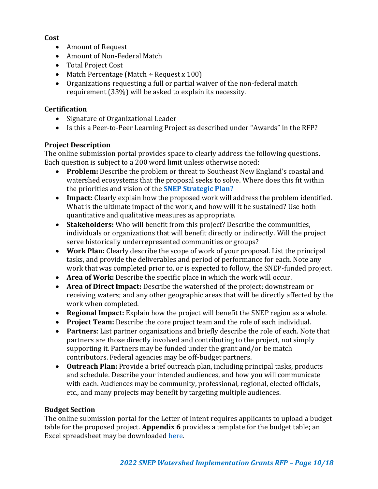#### **Cost**

- Amount of Request
- Amount of Non-Federal Match
- Total Project Cost
- Match Percentage (Match  $\div$  Request x 100)
- Organizations requesting a full or partial waiver of the non-federal match requirement (33%) will be asked to explain its necessity.

## **Certification**

- Signature of Organizational Leader
- Is this a Peer-to-Peer Learning Project as described under "Awards" in the RFP?

## **Project Description**

The online submission portal provides space to clearly address the following questions. Each question is subject to a 200 word limit unless otherwise noted:

- **Problem:** Describe the problem or threat to Southeast New England's coastal and watershed ecosystems that the proposal seeks to solve. Where does this fit within the priorities and vision of the **[SNEP Strategic Plan?](https://www.epa.gov/snep/snep-strategic-plan#:~:text=The%20purpose%20of%20this%20Strategic,%2C%20and%203)%20sustainable%20communities.)**
- **Impact:** Clearly explain how the proposed work will address the problem identified. What is the ultimate impact of the work, and how will it be sustained? Use both quantitative and qualitative measures as appropriate.
- **Stakeholders:** Who will benefit from this project? Describe the communities, individuals or organizations that will benefit directly or indirectly. Will the project serve historically underrepresented communities or groups?
- **Work Plan:** Clearly describe the scope of work of your proposal. List the principal tasks, and provide the deliverables and period of performance for each. Note any work that was completed prior to, or is expected to follow, the SNEP-funded project.
- **Area of Work:** Describe the specific place in which the work will occur.
- **Area of Direct Impact:** Describe the watershed of the project; downstream or receiving waters; and any other geographic areas that will be directly affected by the work when completed.
- **Regional Impact:** Explain how the project will benefit the SNEP region as a whole.
- **Project Team:** Describe the core project team and the role of each individual.
- **Partners**: List partner organizations and briefly describe the role of each. Note that partners are those directly involved and contributing to the project, not simply supporting it. Partners may be funded under the grant and/or be match contributors. Federal agencies may be off-budget partners.
- **Outreach Plan:** Provide a brief outreach plan, including principal tasks, products and schedule. Describe your intended audiences, and how you will communicate with each. Audiences may be community, professional, regional, elected officials, etc., and many projects may benefit by targeting multiple audiences.

## **Budget Section**

The online submission portal for the Letter of Intent requires applicants to upload a budget table for the proposed project. **Appendix 6** provides a template for the budget table; an Excel spreadsheet may be downloaded [here.](https://estuaries.org/snepgrantprogram/resources/)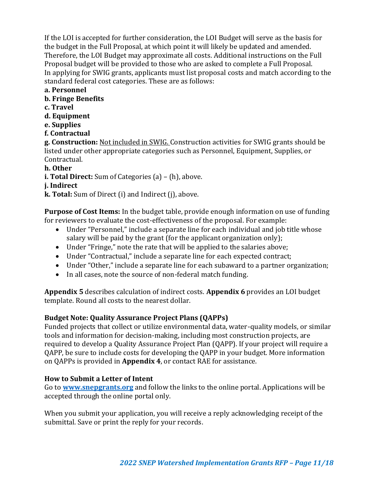If the LOI is accepted for further consideration, the LOI Budget will serve as the basis for the budget in the Full Proposal, at which point it will likely be updated and amended. Therefore, the LOI Budget may approximate all costs. Additional instructions on the Full Proposal budget will be provided to those who are asked to complete a Full Proposal. In applying for SWIG grants, applicants must list proposal costs and match according to the standard federal cost categories. These are as follows:

- **a. Personnel**
- **b. Fringe Benefits**
- **c. Travel**
- **d. Equipment**
- **e. Supplies**
- **f. Contractual**

**g. Construction:** Not included in SWIG. Construction activities for SWIG grants should be listed under other appropriate categories such as Personnel, Equipment, Supplies, or Contractual.

- **h. Other**
- **i. Total Direct:** Sum of Categories (a) (h), above.
- **j. Indirect**
- **k. Total:** Sum of Direct (i) and Indirect (j), above.

**Purpose of Cost Items:** In the budget table, provide enough information on use of funding for reviewers to evaluate the cost-effectiveness of the proposal. For example:

- Under "Personnel," include a separate line for each individual and job title whose salary will be paid by the grant (for the applicant organization only);
- Under "Fringe," note the rate that will be applied to the salaries above;
- Under "Contractual," include a separate line for each expected contract;
- Under "Other," include a separate line for each subaward to a partner organization;
- In all cases, note the source of non-federal match funding.

**Appendix 5** describes calculation of indirect costs. **Appendix 6** provides an LOI budget template. Round all costs to the nearest dollar.

## **Budget Note: Quality Assurance Project Plans (QAPPs)**

Funded projects that collect or utilize environmental data, water-quality models, or similar tools and information for decision-making, including most construction projects, are required to develop a Quality Assurance Project Plan (QAPP). If your project will require a QAPP, be sure to include costs for developing the QAPP in your budget. More information on QAPPs is provided in **Appendix 4**, or contact RAE for assistance.

## **How to Submit a Letter of Intent**

Go to **[www.snepgrants.org](http://www.snepgrants.org/)** and follow the links to the online portal. Applications will be accepted through the online portal only.

When you submit your application, you will receive a reply acknowledging receipt of the submittal. Save or print the reply for your records.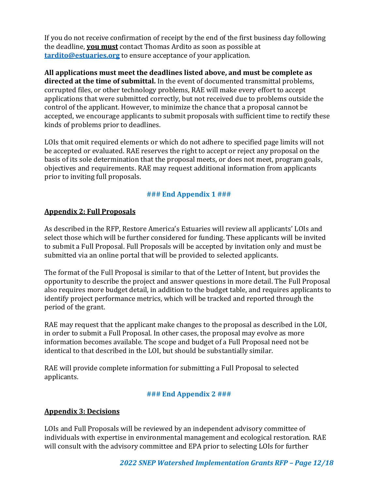If you do not receive confirmation of receipt by the end of the first business day following the deadline, **you must** contact Thomas Ardito as soon as possible at **[tardito@estuaries.org](http://tardito@estuaries.org/)** to ensure acceptance of your application.

**All applications must meet the deadlines listed above, and must be complete as directed at the time of submittal.** In the event of documented transmittal problems, corrupted files, or other technology problems, RAE will make every effort to accept applications that were submitted correctly, but not received due to problems outside the control of the applicant. However, to minimize the chance that a proposal cannot be accepted, we encourage applicants to submit proposals with sufficient time to rectify these kinds of problems prior to deadlines.

LOIs that omit required elements or which do not adhere to specified page limits will not be accepted or evaluated. RAE reserves the right to accept or reject any proposal on the basis of its sole determination that the proposal meets, or does not meet, program goals, objectives and requirements. RAE may request additional information from applicants prior to inviting full proposals.

## **### End Appendix 1 ###**

## **Appendix 2: Full Proposals**

As described in the RFP, Restore America's Estuaries will review all applicants' LOIs and select those which will be further considered for funding. These applicants will be invited to submit a Full Proposal. Full Proposals will be accepted by invitation only and must be submitted via an online portal that will be provided to selected applicants.

The format of the Full Proposal is similar to that of the Letter of Intent, but provides the opportunity to describe the project and answer questions in more detail. The Full Proposal also requires more budget detail, in addition to the budget table, and requires applicants to identify project performance metrics, which will be tracked and reported through the period of the grant.

RAE may request that the applicant make changes to the proposal as described in the LOI, in order to submit a Full Proposal. In other cases, the proposal may evolve as more information becomes available. The scope and budget of a Full Proposal need not be identical to that described in the LOI, but should be substantially similar.

RAE will provide complete information for submitting a Full Proposal to selected applicants.

## **### End Appendix 2 ###**

## **Appendix 3: Decisions**

LOIs and Full Proposals will be reviewed by an independent advisory committee of individuals with expertise in environmental management and ecological restoration. RAE will consult with the advisory committee and EPA prior to selecting LOIs for further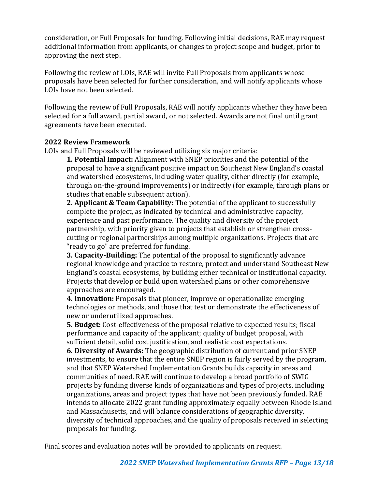consideration, or Full Proposals for funding. Following initial decisions, RAE may request additional information from applicants, or changes to project scope and budget, prior to approving the next step.

Following the review of LOIs, RAE will invite Full Proposals from applicants whose proposals have been selected for further consideration, and will notify applicants whose LOIs have not been selected.

Following the review of Full Proposals, RAE will notify applicants whether they have been selected for a full award, partial award, or not selected. Awards are not final until grant agreements have been executed.

## **2022 Review Framework**

LOIs and Full Proposals will be reviewed utilizing six major criteria:

**1. Potential Impact:** Alignment with SNEP priorities and the potential of the proposal to have a significant positive impact on Southeast New England's coastal and watershed ecosystems, including water quality, either directly (for example, through on-the-ground improvements) or indirectly (for example, through plans or studies that enable subsequent action).

**2. Applicant & Team Capability:** The potential of the applicant to successfully complete the project, as indicated by technical and administrative capacity, experience and past performance. The quality and diversity of the project partnership, with priority given to projects that establish or strengthen crosscutting or regional partnerships among multiple organizations. Projects that are "ready to go" are preferred for funding.

**3. Capacity-Building:** The potential of the proposal to significantly advance regional knowledge and practice to restore, protect and understand Southeast New England's coastal ecosystems, by building either technical or institutional capacity. Projects that develop or build upon watershed plans or other comprehensive approaches are encouraged.

**4. Innovation:** Proposals that pioneer, improve or operationalize emerging technologies or methods, and those that test or demonstrate the effectiveness of new or underutilized approaches.

**5. Budget:** Cost-effectiveness of the proposal relative to expected results; fiscal performance and capacity of the applicant; quality of budget proposal, with sufficient detail, solid cost justification, and realistic cost expectations.

**6. Diversity of Awards:** The geographic distribution of current and prior SNEP investments, to ensure that the entire SNEP region is fairly served by the program, and that SNEP Watershed Implementation Grants builds capacity in areas and communities of need. RAE will continue to develop a broad portfolio of SWIG projects by funding diverse kinds of organizations and types of projects, including organizations, areas and project types that have not been previously funded. RAE intends to allocate 2022 grant funding approximately equally between Rhode Island and Massachusetts, and will balance considerations of geographic diversity, diversity of technical approaches, and the quality of proposals received in selecting proposals for funding.

Final scores and evaluation notes will be provided to applicants on request.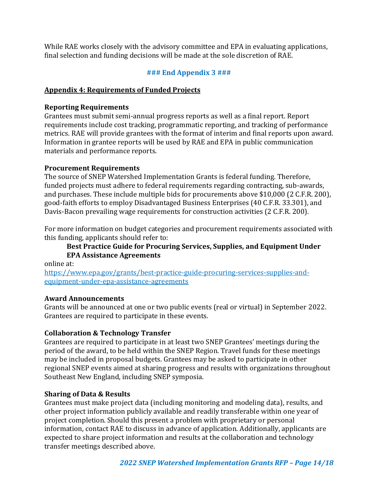While RAE works closely with the advisory committee and EPA in evaluating applications, final selection and funding decisions will be made at the sole discretion of RAE.

## **### End Appendix 3 ###**

#### **Appendix 4: Requirements of Funded Projects**

#### **Reporting Requirements**

Grantees must submit semi-annual progress reports as well as a final report. Report requirements include cost tracking, programmatic reporting, and tracking of performance metrics. RAE will provide grantees with the format of interim and final reports upon award. Information in grantee reports will be used by RAE and EPA in public communication materials and performance reports.

## **Procurement Requirements**

The source of SNEP Watershed Implementation Grants is federal funding. Therefore, funded projects must adhere to federal requirements regarding contracting, sub-awards, and purchases. These include multiple bids for procurements above \$10,000 (2 C.F.R. 200), good-faith efforts to employ Disadvantaged Business Enterprises (40 C.F.R. 33.301), and Davis-Bacon prevailing wage requirements for construction activities (2 C.F.R. 200).

For more information on budget categories and procurement requirements associated with this funding, applicants should refer to:

## **Best Practice Guide for Procuring Services, Supplies, and Equipment Under EPA Assistance Agreements**

online at:

[https://www.epa.gov/grants/best-practice-guide-procuring-services-supplies-and](https://www.epa.gov/grants/best-practice-guide-procuring-services-supplies-and-equipment-under-epa-assistance-agreements)[equipment-under-epa-assistance-agreements](https://www.epa.gov/grants/best-practice-guide-procuring-services-supplies-and-equipment-under-epa-assistance-agreements)

#### **Award Announcements**

Grants will be announced at one or two public events (real or virtual) in September 2022. Grantees are required to participate in these events.

## **Collaboration & Technology Transfer**

Grantees are required to participate in at least two SNEP Grantees' meetings during the period of the award, to be held within the SNEP Region. Travel funds for these meetings may be included in proposal budgets. Grantees may be asked to participate in other regional SNEP events aimed at sharing progress and results with organizations throughout Southeast New England, including SNEP symposia.

## **Sharing of Data & Results**

Grantees must make project data (including monitoring and modeling data), results, and other project information publicly available and readily transferable within one year of project completion. Should this present a problem with proprietary or personal information, contact RAE to discuss in advance of application. Additionally, applicants are expected to share project information and results at the collaboration and technology transfer meetings described above.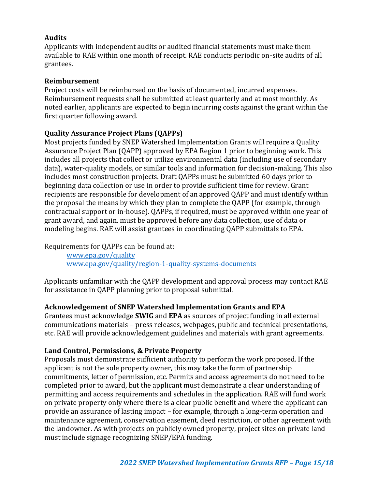## **Audits**

Applicants with independent audits or audited financial statements must make them available to RAE within one month of receipt. RAE conducts periodic on-site audits of all grantees.

#### **Reimbursement**

Project costs will be reimbursed on the basis of documented, incurred expenses. Reimbursement requests shall be submitted at least quarterly and at most monthly. As noted earlier, applicants are expected to begin incurring costs against the grant within the first quarter following award.

#### **Quality Assurance Project Plans (QAPPs)**

Most projects funded by SNEP Watershed Implementation Grants will require a Quality Assurance Project Plan (QAPP) approved by EPA Region 1 prior to beginning work. This includes all projects that collect or utilize environmental data (including use of secondary data), water-quality models, or similar tools and information for decision-making. This also includes most construction projects. Draft QAPPs must be submitted 60 days prior to beginning data collection or use in order to provide sufficient time for review. Grant recipients are responsible for development of an approved QAPP and must identify within the proposal the means by which they plan to complete the QAPP (for example, through contractual support or in-house). QAPPs, if required, must be approved within one year of grant award, and again, must be approved before any data collection, use of data or modeling begins. RAE will assist grantees in coordinating QAPP submittals to EPA.

Requirements for QAPPs can be found at:

[www.epa.gov/quality](http://www.epa.gov/quality) [www.epa.gov/quality/region-1-quality-systems-documents](http://www.epa.gov/quality/region-1-quality-systems-documents)

Applicants unfamiliar with the QAPP development and approval process may contact RAE for assistance in QAPP planning prior to proposal submittal.

#### **Acknowledgement of SNEP Watershed Implementation Grants and EPA**

Grantees must acknowledge **SWIG** and **EPA** as sources of project funding in all external communications materials – press releases, webpages, public and technical presentations, etc. RAE will provide acknowledgement guidelines and materials with grant agreements.

#### **Land Control, Permissions, & Private Property**

Proposals must demonstrate sufficient authority to perform the work proposed. If the applicant is not the sole property owner, this may take the form of partnership commitments, letter of permission, etc. Permits and access agreements do not need to be completed prior to award, but the applicant must demonstrate a clear understanding of permitting and access requirements and schedules in the application. RAE will fund work on private property only where there is a clear public benefit and where the applicant can provide an assurance of lasting impact – for example, through a long-term operation and maintenance agreement, conservation easement, deed restriction, or other agreement with the landowner. As with projects on publicly owned property, project sites on private land must include signage recognizing SNEP/EPA funding.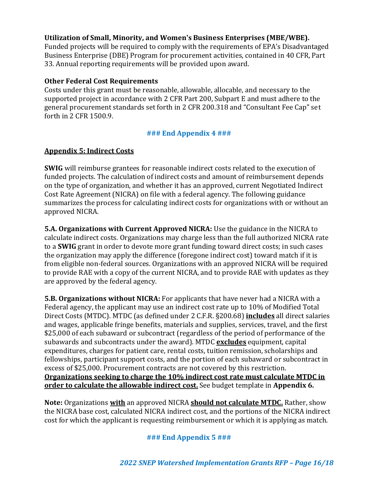#### **Utilization of Small, Minority, and Women's Business Enterprises (MBE/WBE).**

Funded projects will be required to comply with the requirements of EPA's Disadvantaged Business Enterprise (DBE) Program for procurement activities, contained in 40 CFR, Part 33. Annual reporting requirements will be provided upon award.

#### **Other Federal Cost Requirements**

Costs under this grant must be reasonable, allowable, allocable, and necessary to the supported project in accordance with 2 CFR Part 200, Subpart E and must adhere to the general procurement standards set forth in 2 CFR 200.318 and "Consultant Fee Cap" set forth in 2 CFR 1500.9.

#### **### End Appendix 4 ###**

## **Appendix 5: Indirect Costs**

**SWIG** will reimburse grantees for reasonable indirect costs related to the execution of funded projects. The calculation of indirect costs and amount of reimbursement depends on the type of organization, and whether it has an approved, current Negotiated Indirect Cost Rate Agreement (NICRA) on file with a federal agency. The following guidance summarizes the process for calculating indirect costs for organizations with or without an approved NICRA.

**5.A. Organizations with Current Approved NICRA:** Use the guidance in the NICRA to calculate indirect costs. Organizations may charge less than the full authorized NICRA rate to a **SWIG** grant in order to devote more grant funding toward direct costs; in such cases the organization may apply the difference (foregone indirect cost) toward match if it is from eligible non-federal sources. Organizations with an approved NICRA will be required to provide RAE with a copy of the current NICRA, and to provide RAE with updates as they are approved by the federal agency.

**5.B. Organizations without NICRA:** For applicants that have never had a NICRA with a Federal agency, the applicant may use an indirect cost rate up to 10% of Modified Total Direct Costs (MTDC). MTDC (as defined under 2 C.F.R. §200.68) **includes** all direct salaries and wages, applicable fringe benefits, materials and supplies, services, travel, and the first \$25,000 of each subaward or subcontract (regardless of the period of performance of the subawards and subcontracts under the award). MTDC **excludes** equipment, capital expenditures, charges for patient care, rental costs, tuition remission, scholarships and fellowships, participant support costs, and the portion of each subaward or subcontract in excess of \$25,000. Procurement contracts are not covered by this restriction. **Organizations seeking to charge the 10% indirect cost rate must calculate MTDC in order to calculate the allowable indirect cost.** See budget template in **Appendix 6.**

**Note:** Organizations **with** an approved NICRA **should not calculate MTDC.** Rather, show the NICRA base cost, calculated NICRA indirect cost, and the portions of the NICRA indirect cost for which the applicant is requesting reimbursement or which it is applying as match.

#### **### End Appendix 5 ###**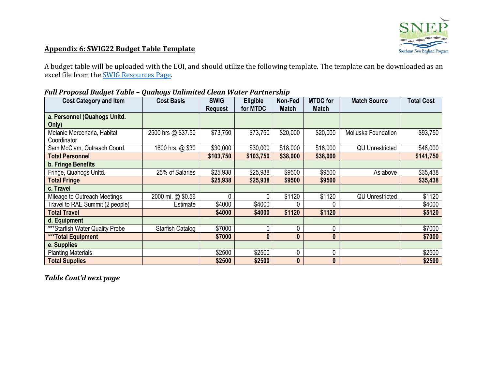

## **Appendix 6: SWIG22 Budget Table Template**

A budget table will be uploaded with the LOI, and should utilize the following template. The template can be downloaded as an excel file from the [SWIG Resources Page.](https://estuaries.org/snepgrantprogram/resources/)

| . un 1 : opoom Buugee 1 up 10<br><b>Cost Category and Item</b> | <b>Cost Basis</b>  | <b>SWIG</b>    | Eligible<br>for MTDC | Non-Fed<br><b>Match</b> | <b>MTDC</b> for<br><b>Match</b> | <b>Match Source</b>    | <b>Total Cost</b> |
|----------------------------------------------------------------|--------------------|----------------|----------------------|-------------------------|---------------------------------|------------------------|-------------------|
| a. Personnel (Quahogs Unitd.                                   |                    | <b>Request</b> |                      |                         |                                 |                        |                   |
| Only)                                                          |                    |                |                      |                         |                                 |                        |                   |
| Melanie Mercenaria, Habitat<br>Coordinator                     | 2500 hrs @ \$37.50 | \$73,750       | \$73,750             | \$20,000                | \$20,000                        | Molluska Foundation    | \$93,750          |
| Sam McClam, Outreach Coord.                                    | 1600 hrs. @ \$30   | \$30,000       | \$30,000             | \$18,000                | \$18,000                        | <b>QU Unrestricted</b> | \$48,000          |
| <b>Total Personnel</b>                                         |                    | \$103,750      | \$103,750            | \$38,000                | \$38,000                        |                        | \$141,750         |
| <b>b. Fringe Benefits</b>                                      |                    |                |                      |                         |                                 |                        |                   |
| Fringe, Quahogs Unltd.                                         | 25% of Salaries    | \$25,938       | \$25,938             | \$9500                  | \$9500                          | As above               | \$35,438          |
| <b>Total Fringe</b>                                            |                    | \$25,938       | \$25,938             | \$9500                  | \$9500                          |                        | \$35,438          |
| c. Travel                                                      |                    |                |                      |                         |                                 |                        |                   |
| Mileage to Outreach Meetings                                   | 2000 mi. @ \$0.56  | $\Omega$       | 0                    | \$1120                  | \$1120                          | <b>QU Unrestricted</b> | \$1120            |
| Travel to RAE Summit (2 people)                                | Estimate           | \$4000         | \$4000               |                         |                                 |                        | \$4000            |
| <b>Total Travel</b>                                            |                    | \$4000         | \$4000               | \$1120                  | \$1120                          |                        | \$5120            |
| d. Equipment                                                   |                    |                |                      |                         |                                 |                        |                   |
| ***Starfish Water Quality Probe                                | Starfish Catalog   | \$7000         | 0                    | 0                       | 0                               |                        | \$7000            |
| <b>***Total Equipment</b>                                      |                    | \$7000         | $\mathbf{0}$         | $\mathbf{0}$            | $\bf{0}$                        |                        | \$7000            |
| e. Supplies                                                    |                    |                |                      |                         |                                 |                        |                   |
| <b>Planting Materials</b>                                      |                    | \$2500         | \$2500               | 0                       | 0                               |                        | \$2500            |
| <b>Total Supplies</b>                                          |                    | \$2500         | \$2500               | $\boldsymbol{0}$        | $\bf{0}$                        |                        | \$2500            |

#### *Full Proposal Budget Table – Quahogs Unlimited Clean Water Partnership*

*Table Cont'd next page*